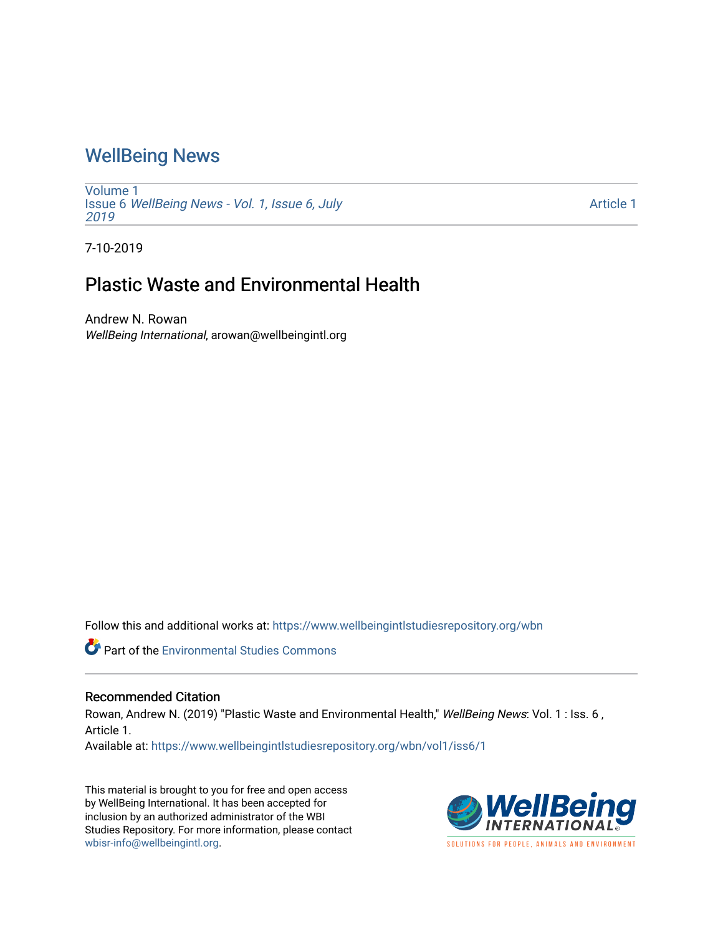## [WellBeing News](https://www.wellbeingintlstudiesrepository.org/wbn)

[Volume 1](https://www.wellbeingintlstudiesrepository.org/wbn/vol1) Issue 6 [WellBeing News - Vol. 1, Issue 6, July](https://www.wellbeingintlstudiesrepository.org/wbn/vol1/iss6) [2019](https://www.wellbeingintlstudiesrepository.org/wbn/vol1/iss6) 

[Article 1](https://www.wellbeingintlstudiesrepository.org/wbn/vol1/iss6/1) 

7-10-2019

## Plastic Waste and Environmental Health

Andrew N. Rowan WellBeing International, arowan@wellbeingintl.org

Follow this and additional works at: [https://www.wellbeingintlstudiesrepository.org/wbn](https://www.wellbeingintlstudiesrepository.org/wbn?utm_source=www.wellbeingintlstudiesrepository.org%2Fwbn%2Fvol1%2Fiss6%2F1&utm_medium=PDF&utm_campaign=PDFCoverPages)

Part of the [Environmental Studies Commons](http://network.bepress.com/hgg/discipline/1333?utm_source=www.wellbeingintlstudiesrepository.org%2Fwbn%2Fvol1%2Fiss6%2F1&utm_medium=PDF&utm_campaign=PDFCoverPages)

## Recommended Citation

Rowan, Andrew N. (2019) "Plastic Waste and Environmental Health," WellBeing News: Vol. 1 : Iss. 6, Article 1.

Available at: [https://www.wellbeingintlstudiesrepository.org/wbn/vol1/iss6/1](https://www.wellbeingintlstudiesrepository.org/wbn/vol1/iss6/1?utm_source=www.wellbeingintlstudiesrepository.org%2Fwbn%2Fvol1%2Fiss6%2F1&utm_medium=PDF&utm_campaign=PDFCoverPages)

This material is brought to you for free and open access by WellBeing International. It has been accepted for inclusion by an authorized administrator of the WBI Studies Repository. For more information, please contact [wbisr-info@wellbeingintl.org](mailto:wbisr-info@wellbeingintl.org).

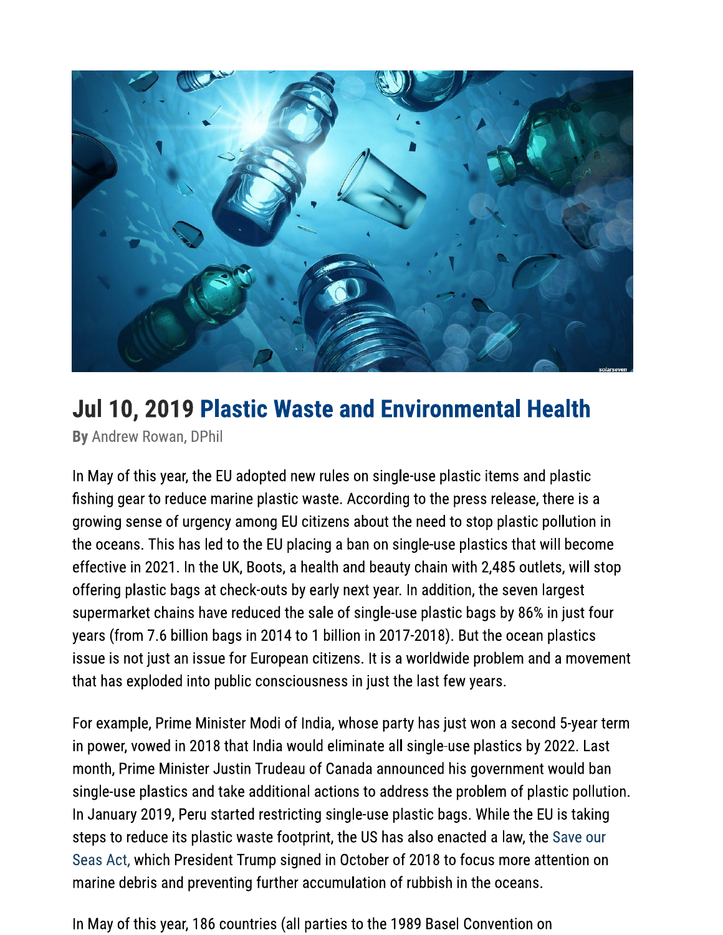

## Jul 10, 2019 Plastic Waste and Environmental Health

By Andrew Rowan, DPhil

In May of this year, the EU adopted new rules on single-use plastic items and plastic fishing gear to reduce marine plastic waste. According to the press release, there is a growing sense of urgency among EU citizens about the need to stop plastic pollution in the oceans. This has led to the EU placing a ban on single-use plastics that will become effective in 2021. In the UK, Boots, a health and beauty chain with 2,485 outlets, will stop offering plastic bags at check-outs by early next year. In addition, the seven largest supermarket chains have reduced the sale of single-use plastic bags by 86% in just four years (from 7.6 billion bags in 2014 to 1 billion in 2017-2018). But the ocean plastics issue is not just an issue for European citizens. It is a worldwide problem and a movement that has exploded into public consciousness in just the last few years.

For example, Prime Minister Modi of India, whose party has just won a second 5-year term in power, vowed in 2018 that India would eliminate all single-use plastics by 2022. Last month, Prime Minister Justin Trudeau of Canada announced his government would ban single-use plastics and take additional actions to address the problem of plastic pollution. In January 2019, Peru started restricting single-use plastic bags. While the EU is taking steps to reduce its plastic waste footprint, the US has also enacted a law, the Save our Seas Act, which President Trump signed in October of 2018 to focus more attention on marine debris and preventing further accumulation of rubbish in the oceans.

In May of this year, 186 countries (all parties to the 1989 Basel Convention on